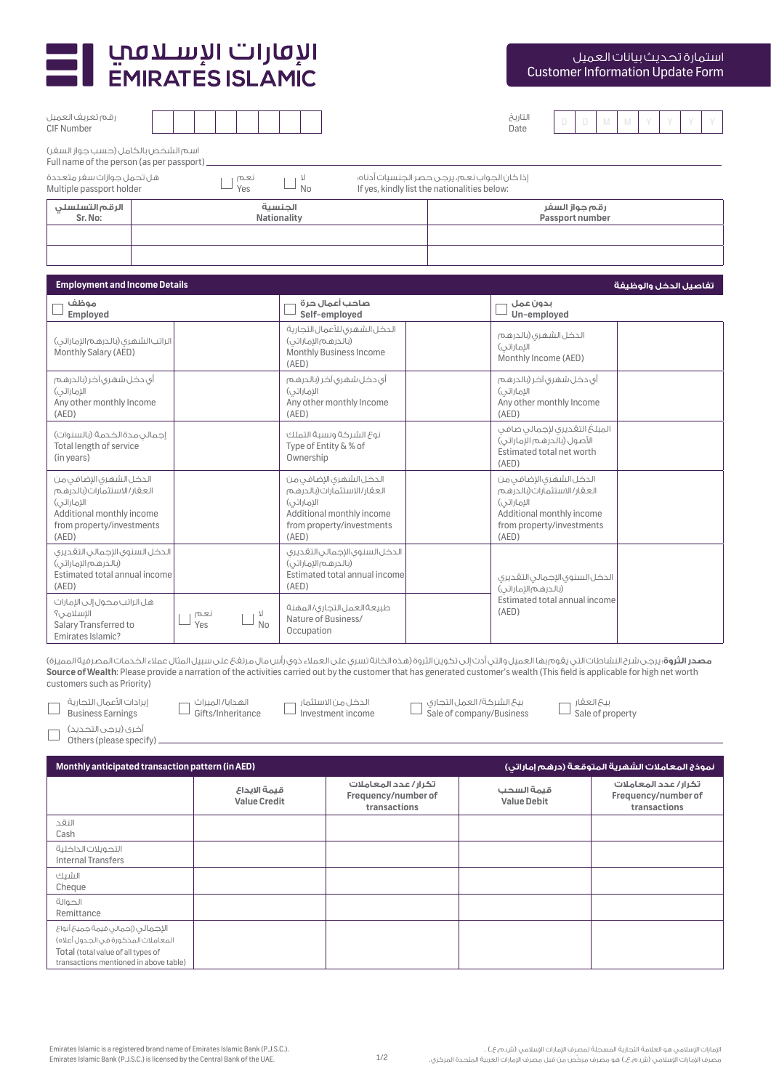

رقم تعريف العميل CIF Number

| استمارة تحديث بيانات العميل             |
|-----------------------------------------|
| <b>Customer Information Update Form</b> |

| $\Delta$<br>ıl ï I<br>I. |  |
|--------------------------|--|
| IIA                      |  |

Date D D M M Y Y Y Y

| اسم الشخص بالكامل (حسب جواز السغر)<br>Full name of the person (as per passport)                                                        |                                                                                                                                                          |                                                                                                                                          |
|----------------------------------------------------------------------------------------------------------------------------------------|----------------------------------------------------------------------------------------------------------------------------------------------------------|------------------------------------------------------------------------------------------------------------------------------------------|
| هل تحمل جوازات سغر متعددة<br>نعم<br>Yes<br>Multiple passport holder                                                                    | $\boldsymbol{\mathcal{T}}$<br><b>No</b><br>If yes, kindly list the nationalities below:                                                                  | إذا كان الجواب نعم، يرجى حصر الجنسيات أدناه؛                                                                                             |
| الرقم التسلسلى<br>Sr. No:                                                                                                              | الحنسية<br><b>Nationality</b>                                                                                                                            | رقم جواز السفر<br>Passport number                                                                                                        |
|                                                                                                                                        |                                                                                                                                                          |                                                                                                                                          |
| <b>Employment and Income Details</b>                                                                                                   |                                                                                                                                                          | تفاصيل الدخل والوظيفة                                                                                                                    |
| موظف<br><b>Employed</b>                                                                                                                | صاحب أعمال حرة<br>Self-emploved                                                                                                                          | بدون عمل<br>Un-employed                                                                                                                  |
| الراتب الشهرى (بالدرهم الإماراتي)<br>Monthly Salary (AED)                                                                              | الدخل الشهرى للأعمال التجارية<br>(بالدرهم الإماراتي)<br>Monthly Business Income<br>(AED)                                                                 | الدخل الشهرى (بالدرهم<br>الإماراتي)<br>Monthly Income (AED)                                                                              |
| أى دخل شهرى آخر (بالدرهم<br>الاماراتی)<br>Any other monthly Income<br>(AED)                                                            | أى دخل شهرى آخر (بالدرهم<br>الاماراتي)<br>Any other monthly Income<br>(AED)                                                                              | أى دخل شهرى آخر (بالدرهم<br>الاماراتی)<br>Any other monthly Income<br>(AED)                                                              |
| إجمالي مدة الخدمة (بالسنوات)<br>Total length of service<br>(in years)                                                                  | نوع الشركة ونسبة التملك<br>Type of Entity & % of<br>Ownership                                                                                            | المبلغ التقديرى لإجمالى صافى<br>الأصول (بالدرهم الإماراتي)<br>Estimated total net worth<br>(AED)                                         |
| الدخل الشهرى الإضافى من<br>العقار/الاستثمارات(بالدرهم<br>الإماراتي)<br>Additional monthly income<br>from property/investments<br>(AED) | الدخل الشهرى الإضافى من<br>العقار/الاستثمارات(بالدرهم<br>الإماراتي)<br>Additional monthly income<br>from property/investments<br>(AED)                   | الدخل الشهرى الإضافي من<br>العقار / الاستثمارات(بالدرهم<br>الإماراتي)<br>Additional monthly income<br>from property/investments<br>(AED) |
| الدخل السنوى الإجمالى التقديرى<br>(بالدرهم الإماراتي)<br>Estimated total annual income<br>(AED)                                        | الدخل السنوى الإجمالى التقديرى<br>(بالدرهم الإماراتي)<br>Estimated total annual income<br>الدخل السنوى الإجمالى التقديرى<br>(AED)<br>(بالدرهم الإماراتي) |                                                                                                                                          |
| هل الراتب محول إلى الإمارات<br>الإسلامى؟<br>نعم<br>71<br>N <sub>0</sub><br>Salary Transferred to<br>Yes<br>Emirates Islamic?           | طبيعةالعمل التجارى/المهنة<br>Nature of Business/<br>Occupation                                                                                           | Estimated total annual income<br>(AED)                                                                                                   |

**مصدر الثروة**: يرجى شرح النشاطات التي يقوم بها العميل والتي أدت إلى تكوين الثروة (هذه الخانة تسرى على العملاء ذوي رأس مال مرتفع على سبيل المثال عملاء الخدمات المصرفية المميزة) **Source of Wealth**: Please provide a narration of the activities carried out by the customer that has generated customer's wealth (This field is applicable for high net worth customers such as Priority)

| إيرادات الأعمال التحارية<br><b>Business Earnings</b> |
|------------------------------------------------------|
| آخری (پرچی التحدید)<br>Others (please specify)       |

| الهدانا/ المبراث  | الدخل من الاستتمار |
|-------------------|--------------------|
| Gifts/Inheritance | Investment income  |

الدخل من ا

بيع الشركة/ العمل التجاري Sale of company/Business بيع العقار Sale of property

| آخری (پرجی التحدید)        |
|----------------------------|
| Others (please specify) __ |

| Monthly anticipated transaction pattern (in AED)                                                                                                          |                                     |                                                              |                                  | نموذج المعاملات الشهرية المتوقعة (درهم إماراتي)              |
|-----------------------------------------------------------------------------------------------------------------------------------------------------------|-------------------------------------|--------------------------------------------------------------|----------------------------------|--------------------------------------------------------------|
|                                                                                                                                                           | قبمة الابداع<br><b>Value Credit</b> | تكرار / عدد المعاملات<br>Frequency/number of<br>transactions | قبمة السحب<br><b>Value Debit</b> | تكرار / عدد المعاملات<br>Frequency/number of<br>transactions |
| النقد<br>Cash                                                                                                                                             |                                     |                                                              |                                  |                                                              |
| التحوىلات الداخلية<br><b>Internal Transfers</b>                                                                                                           |                                     |                                                              |                                  |                                                              |
| الشىك<br>Cheque                                                                                                                                           |                                     |                                                              |                                  |                                                              |
| الحوالة<br>Remittance                                                                                                                                     |                                     |                                                              |                                  |                                                              |
| الإجمالى (إجمالى قيمة جميعٌ أنواعٌ<br>المعاملات المذكورة فى الجدول أعلاه)<br>Total (total value of all types of<br>transactions mentioned in above table) |                                     |                                                              |                                  |                                                              |